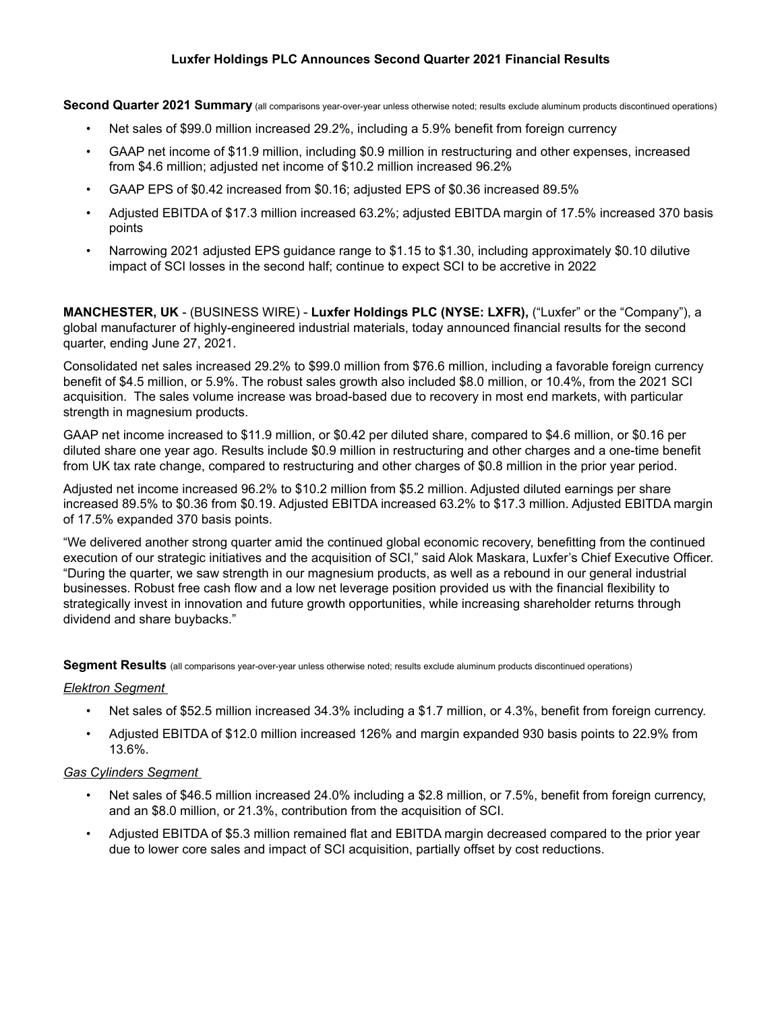### **Luxfer Holdings PLC Announces Second Quarter 2021 Financial Results**

Second Quarter 2021 Summary (all comparisons year-over-year unless otherwise noted; results exclude aluminum products discontinued operations)

- Net sales of \$99.0 million increased 29.2%, including a 5.9% benefit from foreign currency
- GAAP net income of \$11.9 million, including \$0.9 million in restructuring and other expenses, increased from \$4.6 million; adjusted net income of \$10.2 million increased 96.2%
- GAAP EPS of \$0.42 increased from \$0.16; adjusted EPS of \$0.36 increased 89.5%
- Adjusted EBITDA of \$17.3 million increased 63.2%; adjusted EBITDA margin of 17.5% increased 370 basis points
- Narrowing 2021 adjusted EPS guidance range to \$1.15 to \$1.30, including approximately \$0.10 dilutive impact of SCI losses in the second half; continue to expect SCI to be accretive in 2022

**MANCHESTER, UK** - (BUSINESS WIRE) - **Luxfer Holdings PLC (NYSE: LXFR),** ("Luxfer" or the "Company"), a global manufacturer of highly-engineered industrial materials, today announced financial results for the second quarter, ending June 27, 2021.

Consolidated net sales increased 29.2% to \$99.0 million from \$76.6 million, including a favorable foreign currency benefit of \$4.5 million, or 5.9%. The robust sales growth also included \$8.0 million, or 10.4%, from the 2021 SCI acquisition. The sales volume increase was broad-based due to recovery in most end markets, with particular strength in magnesium products.

GAAP net income increased to \$11.9 million, or \$0.42 per diluted share, compared to \$4.6 million, or \$0.16 per diluted share one year ago. Results include \$0.9 million in restructuring and other charges and a one-time benefit from UK tax rate change, compared to restructuring and other charges of \$0.8 million in the prior year period.

Adjusted net income increased 96.2% to \$10.2 million from \$5.2 million. Adjusted diluted earnings per share increased 89.5% to \$0.36 from \$0.19. Adjusted EBITDA increased 63.2% to \$17.3 million. Adjusted EBITDA margin of 17.5% expanded 370 basis points.

"We delivered another strong quarter amid the continued global economic recovery, benefitting from the continued execution of our strategic initiatives and the acquisition of SCI," said Alok Maskara, Luxfer's Chief Executive Officer. "During the quarter, we saw strength in our magnesium products, as well as a rebound in our general industrial businesses. Robust free cash flow and a low net leverage position provided us with the financial flexibility to strategically invest in innovation and future growth opportunities, while increasing shareholder returns through dividend and share buybacks."

Segment Results (all comparisons year-over-year unless otherwise noted; results exclude aluminum products discontinued operations)

#### *Elektron Segment*

- Net sales of \$52.5 million increased 34.3% including a \$1.7 million, or 4.3%, benefit from foreign currency.
- Adjusted EBITDA of \$12.0 million increased 126% and margin expanded 930 basis points to 22.9% from 13.6%.

### *Gas Cylinders Segment*

- Net sales of \$46.5 million increased 24.0% including a \$2.8 million, or 7.5%, benefit from foreign currency, and an \$8.0 million, or 21.3%, contribution from the acquisition of SCI.
- Adjusted EBITDA of \$5.3 million remained flat and EBITDA margin decreased compared to the prior year due to lower core sales and impact of SCI acquisition, partially offset by cost reductions.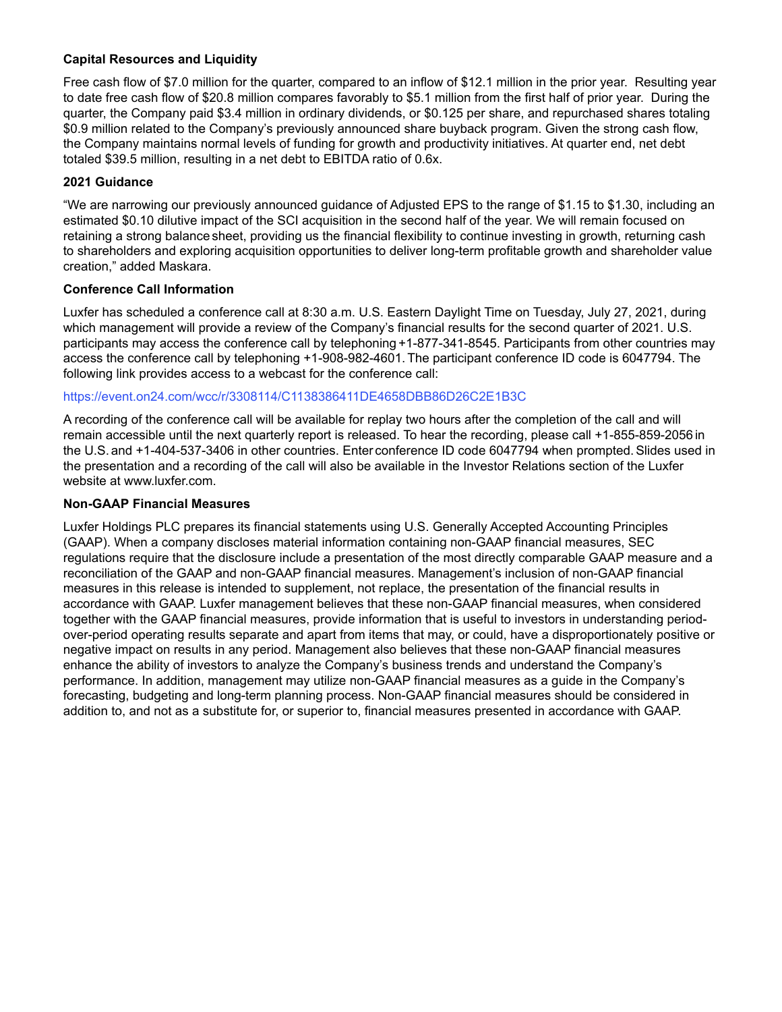### **Capital Resources and Liquidity**

Free cash flow of \$7.0 million for the quarter, compared to an inflow of \$12.1 million in the prior year. Resulting year to date free cash flow of \$20.8 million compares favorably to \$5.1 million from the first half of prior year. During the quarter, the Company paid \$3.4 million in ordinary dividends, or \$0.125 per share, and repurchased shares totaling \$0.9 million related to the Company's previously announced share buyback program. Given the strong cash flow, the Company maintains normal levels of funding for growth and productivity initiatives. At quarter end, net debt totaled \$39.5 million, resulting in a net debt to EBITDA ratio of 0.6x.

### **2021 Guidance**

"We are narrowing our previously announced guidance of Adjusted EPS to the range of \$1.15 to \$1.30, including an estimated \$0.10 dilutive impact of the SCI acquisition in the second half of the year. We will remain focused on retaining a strong balance sheet, providing us the financial flexibility to continue investing in growth, returning cash to shareholders and exploring acquisition opportunities to deliver long-term profitable growth and shareholder value creation," added Maskara.

### **Conference Call Information**

Luxfer has scheduled a conference call at 8:30 a.m. U.S. Eastern Daylight Time on Tuesday, July 27, 2021, during which management will provide a review of the Company's financial results for the second quarter of 2021. U.S. participants may access the conference call by telephoning +1-877-341-8545. Participants from other countries may access the conference call by telephoning +1-908-982-4601.The participant conference ID code is 6047794. The following link provides access to a webcast for the conference call:

### https://event.on24.com/wcc/r/3308114/C1138386411DE4658DBB86D26C2E1B3C

A recording of the conference call will be available for replay two hours after the completion of the call and will remain accessible until the next quarterly report is released. To hear the recording, please call +1-855-859-2056in the U.S.and +1-404-537-3406 in other countries. Enter conference ID code 6047794 when prompted.Slides used in the presentation and a recording of the call will also be available in the Investor Relations section of the Luxfer website at www.luxfer.com.

### **Non-GAAP Financial Measures**

Luxfer Holdings PLC prepares its financial statements using U.S. Generally Accepted Accounting Principles (GAAP). When a company discloses material information containing non-GAAP financial measures, SEC regulations require that the disclosure include a presentation of the most directly comparable GAAP measure and a reconciliation of the GAAP and non-GAAP financial measures. Management's inclusion of non-GAAP financial measures in this release is intended to supplement, not replace, the presentation of the financial results in accordance with GAAP. Luxfer management believes that these non-GAAP financial measures, when considered together with the GAAP financial measures, provide information that is useful to investors in understanding periodover-period operating results separate and apart from items that may, or could, have a disproportionately positive or negative impact on results in any period. Management also believes that these non-GAAP financial measures enhance the ability of investors to analyze the Company's business trends and understand the Company's performance. In addition, management may utilize non-GAAP financial measures as a guide in the Company's forecasting, budgeting and long-term planning process. Non-GAAP financial measures should be considered in addition to, and not as a substitute for, or superior to, financial measures presented in accordance with GAAP.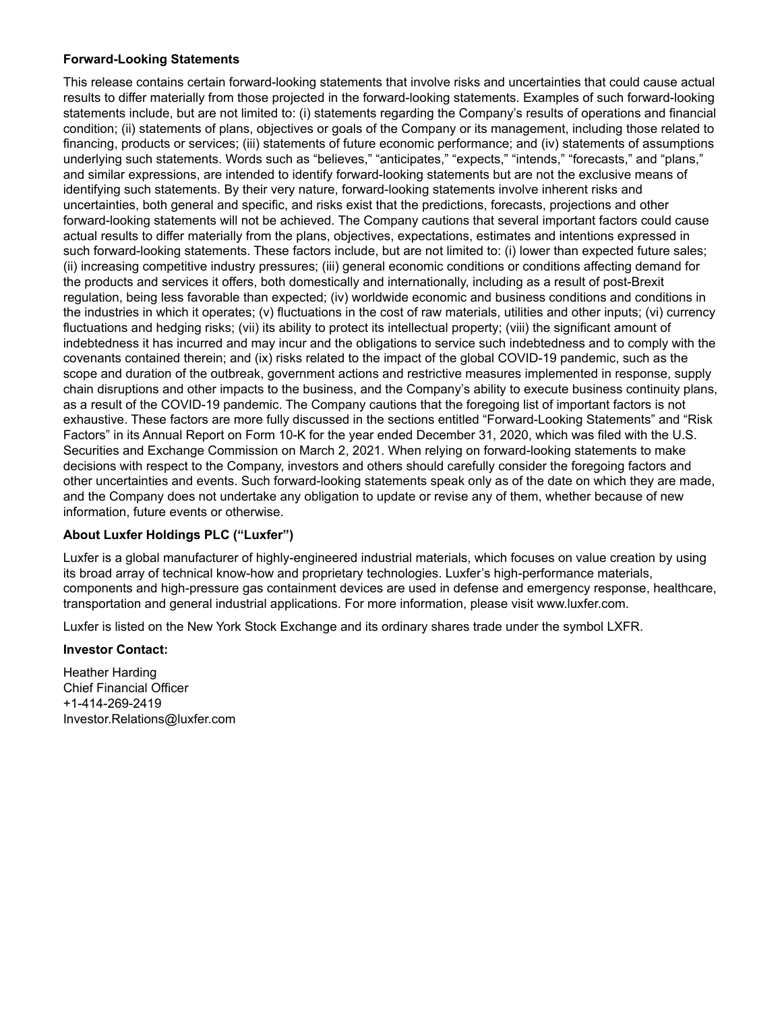### **Forward-Looking Statements**

This release contains certain forward-looking statements that involve risks and uncertainties that could cause actual results to differ materially from those projected in the forward-looking statements. Examples of such forward-looking statements include, but are not limited to: (i) statements regarding the Company's results of operations and financial condition; (ii) statements of plans, objectives or goals of the Company or its management, including those related to financing, products or services; (iii) statements of future economic performance; and (iv) statements of assumptions underlying such statements. Words such as "believes," "anticipates," "expects," "intends," "forecasts," and "plans," and similar expressions, are intended to identify forward-looking statements but are not the exclusive means of identifying such statements. By their very nature, forward-looking statements involve inherent risks and uncertainties, both general and specific, and risks exist that the predictions, forecasts, projections and other forward-looking statements will not be achieved. The Company cautions that several important factors could cause actual results to differ materially from the plans, objectives, expectations, estimates and intentions expressed in such forward-looking statements. These factors include, but are not limited to: (i) lower than expected future sales; (ii) increasing competitive industry pressures; (iii) general economic conditions or conditions affecting demand for the products and services it offers, both domestically and internationally, including as a result of post-Brexit regulation, being less favorable than expected; (iv) worldwide economic and business conditions and conditions in the industries in which it operates; (v) fluctuations in the cost of raw materials, utilities and other inputs; (vi) currency fluctuations and hedging risks; (vii) its ability to protect its intellectual property; (viii) the significant amount of indebtedness it has incurred and may incur and the obligations to service such indebtedness and to comply with the covenants contained therein; and (ix) risks related to the impact of the global COVID-19 pandemic, such as the scope and duration of the outbreak, government actions and restrictive measures implemented in response, supply chain disruptions and other impacts to the business, and the Company's ability to execute business continuity plans, as a result of the COVID-19 pandemic. The Company cautions that the foregoing list of important factors is not exhaustive. These factors are more fully discussed in the sections entitled "Forward-Looking Statements" and "Risk Factors" in its Annual Report on Form 10-K for the year ended December 31, 2020, which was filed with the U.S. Securities and Exchange Commission on March 2, 2021. When relying on forward-looking statements to make decisions with respect to the Company, investors and others should carefully consider the foregoing factors and other uncertainties and events. Such forward-looking statements speak only as of the date on which they are made, and the Company does not undertake any obligation to update or revise any of them, whether because of new information, future events or otherwise.

### **About Luxfer Holdings PLC ("Luxfer")**

Luxfer is a global manufacturer of highly-engineered industrial materials, which focuses on value creation by using its broad array of technical know-how and proprietary technologies. Luxfer's high-performance materials, components and high-pressure gas containment devices are used in defense and emergency response, healthcare, transportation and general industrial applications. For more information, please visit www.luxfer.com.

Luxfer is listed on the New York Stock Exchange and its ordinary shares trade under the symbol LXFR.

#### **Investor Contact:**

Heather Harding Chief Financial Officer +1-414-269-2419 Investor.Relations@luxfer.com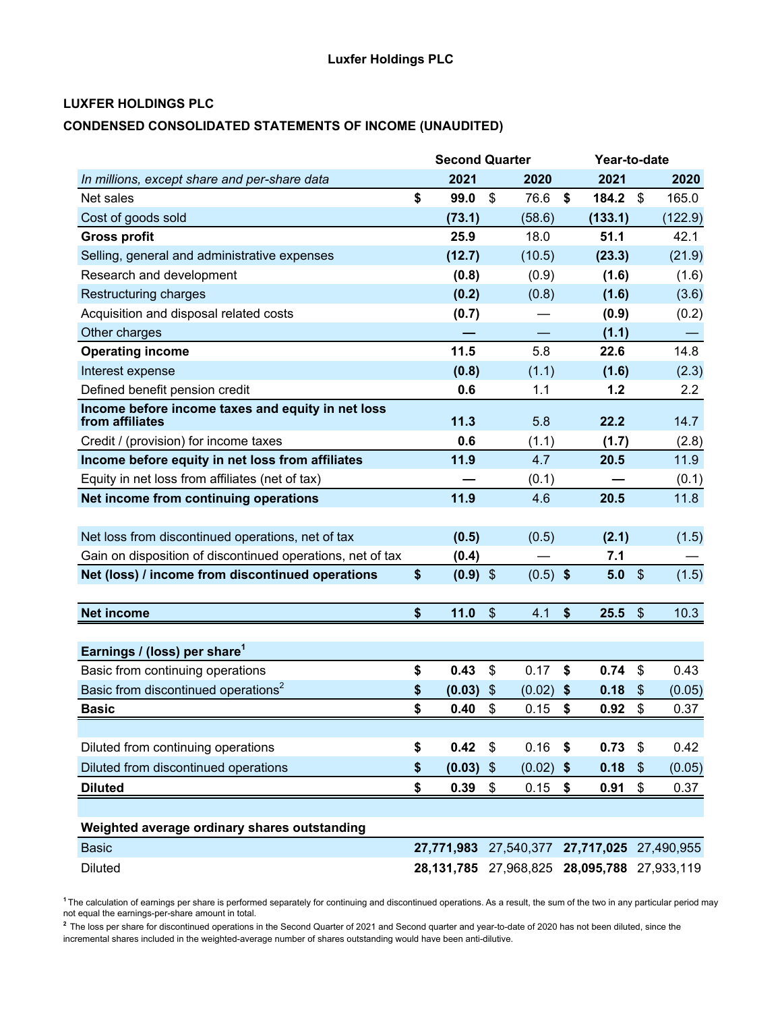### **CONDENSED CONSOLIDATED STATEMENTS OF INCOME (UNAUDITED)**

|                                                                      | <b>Second Quarter</b>                       |                           |            |    |                                  | Year-to-date              |                  |  |
|----------------------------------------------------------------------|---------------------------------------------|---------------------------|------------|----|----------------------------------|---------------------------|------------------|--|
| In millions, except share and per-share data                         | 2021                                        |                           | 2020       |    | 2021                             |                           | 2020             |  |
| Net sales                                                            | \$<br>99.0                                  | \$                        | 76.6       | \$ | 184.2                            | \$                        | 165.0            |  |
| Cost of goods sold                                                   | (73.1)                                      |                           | (58.6)     |    | (133.1)                          |                           | (122.9)          |  |
| <b>Gross profit</b>                                                  | 25.9                                        |                           | 18.0       |    | 51.1                             |                           | 42.1             |  |
| Selling, general and administrative expenses                         | (12.7)                                      |                           | (10.5)     |    | (23.3)                           |                           | (21.9)           |  |
| Research and development                                             | (0.8)                                       |                           | (0.9)      |    | (1.6)                            |                           | (1.6)            |  |
| Restructuring charges                                                | (0.2)                                       |                           | (0.8)      |    | (1.6)                            |                           | (3.6)            |  |
| Acquisition and disposal related costs                               | (0.7)                                       |                           |            |    | (0.9)                            |                           | (0.2)            |  |
| Other charges                                                        |                                             |                           |            |    | (1.1)                            |                           |                  |  |
| <b>Operating income</b>                                              | 11.5                                        |                           | 5.8        |    | 22.6                             |                           | 14.8             |  |
| Interest expense                                                     | (0.8)                                       |                           | (1.1)      |    | (1.6)                            |                           | (2.3)            |  |
| Defined benefit pension credit                                       | 0.6                                         |                           | 1.1        |    | 1.2                              |                           | $2.2\phantom{0}$ |  |
| Income before income taxes and equity in net loss<br>from affiliates | 11.3                                        |                           | 5.8        |    | 22.2                             |                           | 14.7             |  |
| Credit / (provision) for income taxes                                | 0.6                                         |                           | (1.1)      |    | (1.7)                            |                           | (2.8)            |  |
| Income before equity in net loss from affiliates                     | 11.9                                        |                           | 4.7        |    | 20.5                             |                           | 11.9             |  |
| Equity in net loss from affiliates (net of tax)                      |                                             |                           | (0.1)      |    |                                  |                           | (0.1)            |  |
| Net income from continuing operations                                | 11.9                                        |                           | 4.6        |    | 20.5                             |                           | 11.8             |  |
|                                                                      |                                             |                           |            |    |                                  |                           |                  |  |
| Net loss from discontinued operations, net of tax                    | (0.5)                                       |                           | (0.5)      |    | (2.1)                            |                           | (1.5)            |  |
| Gain on disposition of discontinued operations, net of tax           | (0.4)                                       |                           |            |    | 7.1                              |                           |                  |  |
| Net (loss) / income from discontinued operations                     | \$<br>$(0.9)$ \$                            |                           | $(0.5)$ \$ |    | 5.0                              | $\mathcal{S}$             | (1.5)            |  |
|                                                                      |                                             |                           |            |    |                                  |                           |                  |  |
| <b>Net income</b>                                                    | \$<br>11.0                                  | $\boldsymbol{\mathsf{S}}$ | 4.1        | \$ | 25.5                             | $\boldsymbol{\mathsf{S}}$ | 10.3             |  |
|                                                                      |                                             |                           |            |    |                                  |                           |                  |  |
| Earnings / (loss) per share <sup>1</sup>                             |                                             |                           |            |    |                                  |                           |                  |  |
| Basic from continuing operations                                     | \$<br>0.43                                  | \$                        | 0.17       | \$ | 0.74                             | \$                        | 0.43             |  |
| Basic from discontinued operations <sup>2</sup>                      | \$<br>(0.03)                                | \$                        | (0.02)     | \$ | 0.18                             | $\boldsymbol{\mathsf{S}}$ | (0.05)           |  |
| <b>Basic</b>                                                         | \$<br>0.40                                  | $\mathfrak{S}$            | 0.15       | \$ | 0.92                             | \$                        | 0.37             |  |
|                                                                      |                                             |                           |            |    |                                  |                           |                  |  |
| Diluted from continuing operations                                   | \$<br>0.42                                  | $\boldsymbol{\mathsf{S}}$ | 0.16       | \$ | 0.73                             | \$                        | 0.42             |  |
| Diluted from discontinued operations                                 | \$<br>(0.03)                                | $\boldsymbol{\mathsf{S}}$ | (0.02)     | \$ | 0.18                             | $\boldsymbol{\mathsf{S}}$ | (0.05)           |  |
| <b>Diluted</b>                                                       | \$<br>0.39                                  | \$                        | 0.15       | \$ | 0.91                             | \$                        | 0.37             |  |
|                                                                      |                                             |                           |            |    |                                  |                           |                  |  |
| Weighted average ordinary shares outstanding                         |                                             |                           |            |    |                                  |                           |                  |  |
| <b>Basic</b>                                                         | 27,771,983                                  |                           |            |    | 27,540,377 27,717,025 27,490,955 |                           |                  |  |
| <b>Diluted</b>                                                       | 28,131,785 27,968,825 28,095,788 27,933,119 |                           |            |    |                                  |                           |                  |  |
|                                                                      |                                             |                           |            |    |                                  |                           |                  |  |

<sup>1</sup> The calculation of earnings per share is performed separately for continuing and discontinued operations. As a result, the sum of the two in any particular period may not equal the earnings-per-share amount in total.

<sup>2</sup> The loss per share for discontinued operations in the Second Quarter of 2021 and Second quarter and year-to-date of 2020 has not been diluted, since the incremental shares included in the weighted-average number of shares outstanding would have been anti-dilutive.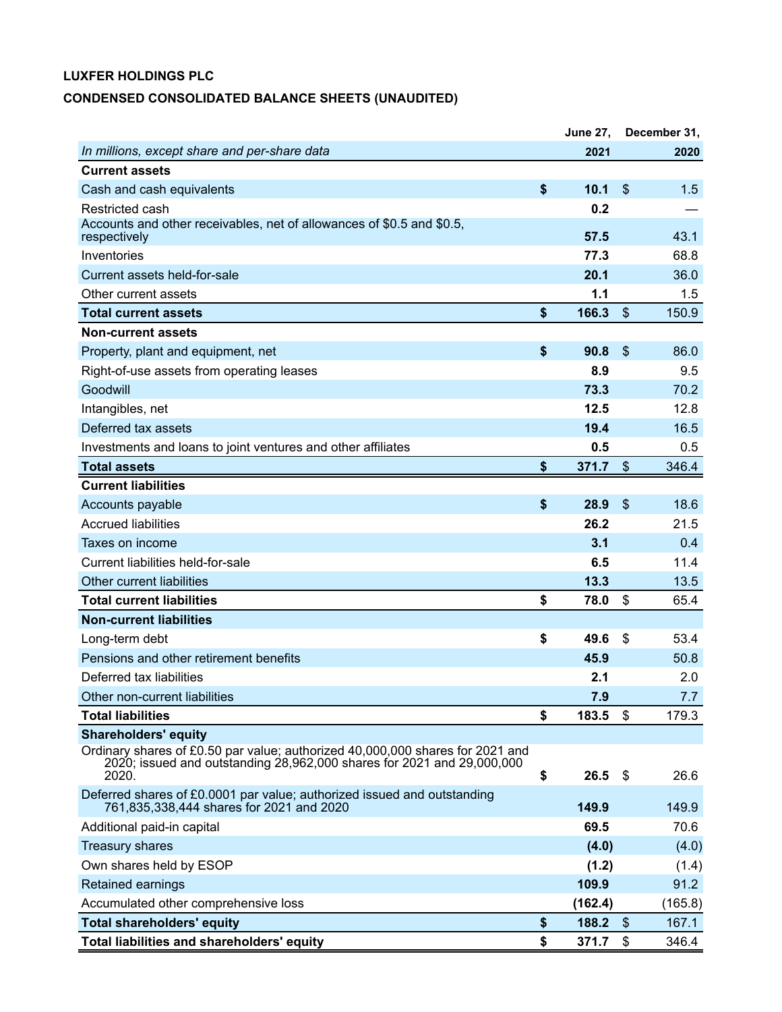# **CONDENSED CONSOLIDATED BALANCE SHEETS (UNAUDITED)**

|                                                                                                                                                         | <b>June 27,</b> |                           | December 31, |
|---------------------------------------------------------------------------------------------------------------------------------------------------------|-----------------|---------------------------|--------------|
| In millions, except share and per-share data                                                                                                            | 2021            |                           | 2020         |
| <b>Current assets</b>                                                                                                                                   |                 |                           |              |
| Cash and cash equivalents                                                                                                                               | \$<br>10.1      | $\boldsymbol{\mathsf{S}}$ | 1.5          |
| Restricted cash                                                                                                                                         | 0.2             |                           |              |
| Accounts and other receivables, net of allowances of \$0.5 and \$0.5,<br>respectively                                                                   | 57.5            |                           | 43.1         |
| Inventories                                                                                                                                             | 77.3            |                           | 68.8         |
| Current assets held-for-sale                                                                                                                            | 20.1            |                           | 36.0         |
| Other current assets                                                                                                                                    | 1.1             |                           | 1.5          |
| <b>Total current assets</b>                                                                                                                             | \$<br>166.3     | $\boldsymbol{\mathsf{S}}$ | 150.9        |
| <b>Non-current assets</b>                                                                                                                               |                 |                           |              |
| Property, plant and equipment, net                                                                                                                      | \$<br>90.8      | $\boldsymbol{\mathsf{S}}$ | 86.0         |
| Right-of-use assets from operating leases                                                                                                               | 8.9             |                           | 9.5          |
| Goodwill                                                                                                                                                | 73.3            |                           | 70.2         |
| Intangibles, net                                                                                                                                        | 12.5            |                           | 12.8         |
| Deferred tax assets                                                                                                                                     | 19.4            |                           | 16.5         |
| Investments and loans to joint ventures and other affiliates                                                                                            | 0.5             |                           | 0.5          |
| <b>Total assets</b>                                                                                                                                     | \$<br>371.7     | $\boldsymbol{\mathsf{S}}$ | 346.4        |
| <b>Current liabilities</b>                                                                                                                              |                 |                           |              |
| Accounts payable                                                                                                                                        | \$<br>28.9      | \$                        | 18.6         |
| <b>Accrued liabilities</b>                                                                                                                              | 26.2            |                           | 21.5         |
| Taxes on income                                                                                                                                         | 3.1             |                           | 0.4          |
| Current liabilities held-for-sale                                                                                                                       | 6.5             |                           | 11.4         |
| Other current liabilities                                                                                                                               | 13.3            |                           | 13.5         |
| <b>Total current liabilities</b>                                                                                                                        | \$<br>78.0      | \$                        | 65.4         |
| <b>Non-current liabilities</b>                                                                                                                          |                 |                           |              |
| Long-term debt                                                                                                                                          | \$<br>49.6      | \$                        | 53.4         |
| Pensions and other retirement benefits                                                                                                                  | 45.9            |                           | 50.8         |
| Deferred tax liabilities                                                                                                                                | 2.1             |                           | 2.0          |
| Other non-current liabilities                                                                                                                           | 7.9             |                           | 7.7          |
| <b>Total liabilities</b>                                                                                                                                | \$<br>183.5     | \$                        | 179.3        |
| <b>Shareholders' equity</b>                                                                                                                             |                 |                           |              |
| Ordinary shares of £0.50 par value; authorized 40,000,000 shares for 2021 and<br>2020; issued and outstanding 28,962,000 shares for 2021 and 29,000,000 |                 |                           |              |
| 2020.                                                                                                                                                   | \$<br>26.5      | \$                        | 26.6         |
| Deferred shares of £0.0001 par value; authorized issued and outstanding<br>761,835,338,444 shares for 2021 and 2020                                     | 149.9           |                           | 149.9        |
| Additional paid-in capital                                                                                                                              | 69.5            |                           | 70.6         |
| <b>Treasury shares</b>                                                                                                                                  | (4.0)           |                           | (4.0)        |
| Own shares held by ESOP                                                                                                                                 | (1.2)           |                           | (1.4)        |
| Retained earnings                                                                                                                                       | 109.9           |                           | 91.2         |
| Accumulated other comprehensive loss                                                                                                                    | (162.4)         |                           | (165.8)      |
| <b>Total shareholders' equity</b>                                                                                                                       | \$<br>188.2     | $\boldsymbol{\mathsf{S}}$ | 167.1        |
| Total liabilities and shareholders' equity                                                                                                              | \$<br>371.7     | \$                        | 346.4        |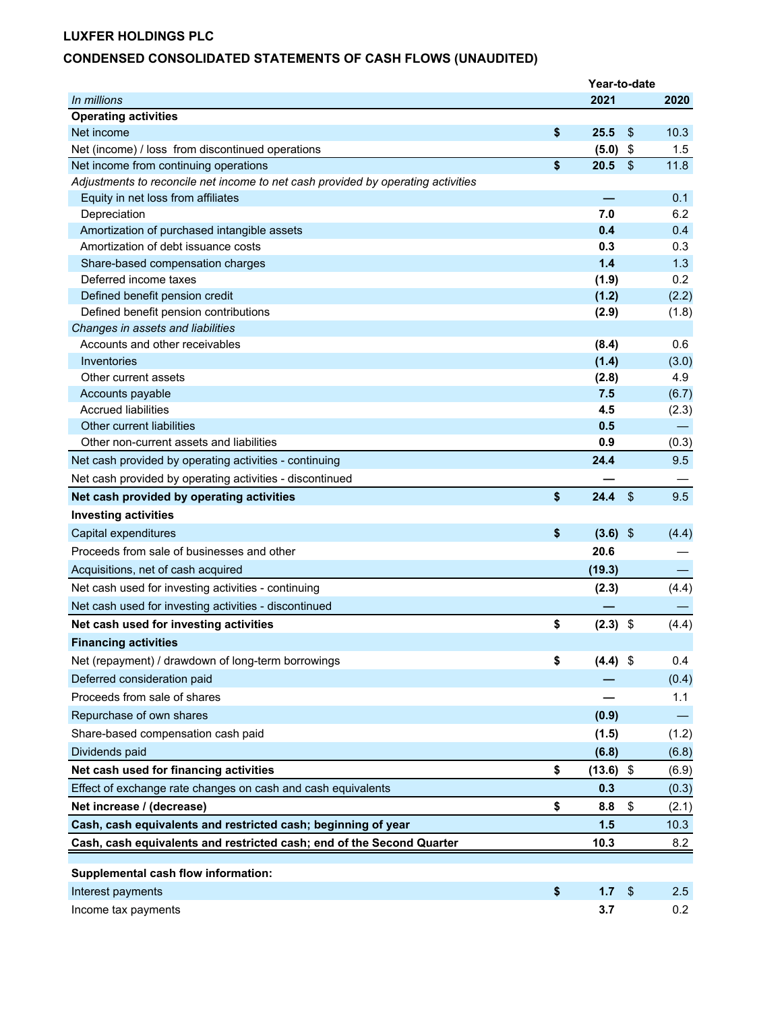# **CONDENSED CONSOLIDATED STATEMENTS OF CASH FLOWS (UNAUDITED)**

|                                                                                  | Year-to-date      |                         |       |
|----------------------------------------------------------------------------------|-------------------|-------------------------|-------|
| In millions                                                                      | 2021              |                         | 2020  |
| <b>Operating activities</b>                                                      |                   |                         |       |
| Net income                                                                       | \$<br>25.5        | $\sqrt[6]{\frac{1}{2}}$ | 10.3  |
| Net (income) / loss from discontinued operations                                 | (5.0)             | \$                      | 1.5   |
| Net income from continuing operations                                            | \$<br>20.5        | $\sqrt[6]{\frac{1}{2}}$ | 11.8  |
| Adjustments to reconcile net income to net cash provided by operating activities |                   |                         |       |
| Equity in net loss from affiliates                                               |                   |                         | 0.1   |
| Depreciation                                                                     | 7.0               |                         | 6.2   |
| Amortization of purchased intangible assets                                      | 0.4               |                         | 0.4   |
| Amortization of debt issuance costs                                              | 0.3               |                         | 0.3   |
| Share-based compensation charges                                                 | 1.4               |                         | 1.3   |
| Deferred income taxes                                                            | (1.9)             |                         | 0.2   |
| Defined benefit pension credit                                                   | (1.2)             |                         | (2.2) |
| Defined benefit pension contributions                                            | (2.9)             |                         | (1.8) |
| Changes in assets and liabilities                                                |                   |                         |       |
| Accounts and other receivables                                                   | (8.4)             |                         | 0.6   |
| Inventories                                                                      | (1.4)             |                         | (3.0) |
| Other current assets                                                             | (2.8)             |                         | 4.9   |
| Accounts payable                                                                 | 7.5               |                         | (6.7) |
| <b>Accrued liabilities</b>                                                       | 4.5               |                         | (2.3) |
| Other current liabilities                                                        | 0.5               |                         |       |
| Other non-current assets and liabilities                                         | 0.9               |                         | (0.3) |
| Net cash provided by operating activities - continuing                           | 24.4              |                         | 9.5   |
| Net cash provided by operating activities - discontinued                         |                   |                         |       |
| Net cash provided by operating activities                                        | \$<br>24.4        | $\sqrt{2}$              | 9.5   |
| <b>Investing activities</b>                                                      |                   |                         |       |
| Capital expenditures                                                             | \$<br>$(3.6)$ \$  |                         | (4.4) |
| Proceeds from sale of businesses and other                                       | 20.6              |                         |       |
| Acquisitions, net of cash acquired                                               | (19.3)            |                         |       |
| Net cash used for investing activities - continuing                              | (2.3)             |                         | (4.4) |
| Net cash used for investing activities - discontinued                            |                   |                         |       |
| Net cash used for investing activities                                           | \$<br>$(2.3)$ \$  |                         | (4.4) |
|                                                                                  |                   |                         |       |
| <b>Financing activities</b>                                                      |                   |                         |       |
| Net (repayment) / drawdown of long-term borrowings                               | \$<br>$(4.4)$ \$  |                         | 0.4   |
| Deferred consideration paid                                                      |                   |                         | (0.4) |
| Proceeds from sale of shares                                                     |                   |                         | 1.1   |
| Repurchase of own shares                                                         | (0.9)             |                         |       |
| Share-based compensation cash paid                                               | (1.5)             |                         | (1.2) |
| Dividends paid                                                                   | (6.8)             |                         | (6.8) |
| Net cash used for financing activities                                           | \$<br>$(13.6)$ \$ |                         | (6.9) |
| Effect of exchange rate changes on cash and cash equivalents                     | 0.3               |                         | (0.3) |
| Net increase / (decrease)                                                        | \$<br>8.8         | \$                      | (2.1) |
| Cash, cash equivalents and restricted cash; beginning of year                    | 1.5               |                         | 10.3  |
|                                                                                  |                   |                         |       |
| Cash, cash equivalents and restricted cash; end of the Second Quarter            | 10.3              |                         | 8.2   |
| Supplemental cash flow information:                                              |                   |                         |       |
| Interest payments                                                                | \$<br>$1.7$       | $\frac{1}{2}$           | 2.5   |
| Income tax payments                                                              | 3.7               |                         | 0.2   |
|                                                                                  |                   |                         |       |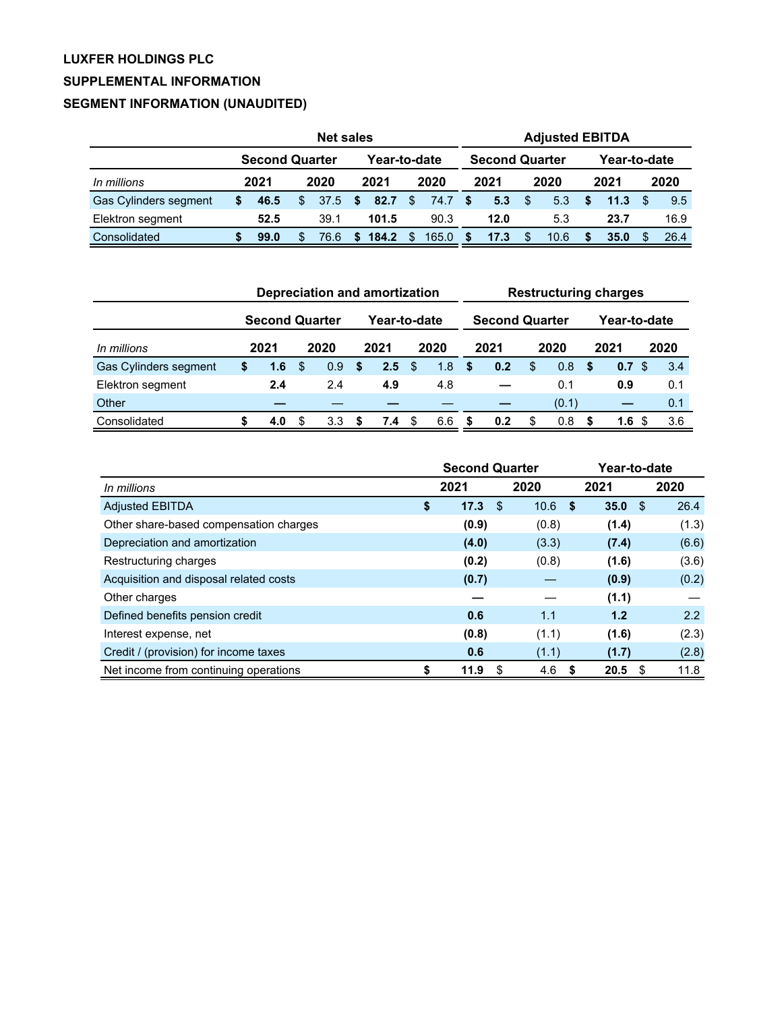# **SUPPLEMENTAL INFORMATION**

# **SEGMENT INFORMATION (UNAUDITED)**

|                       | <b>Net sales</b> |                       |                |      |              |       |     | <b>Adjusted EBITDA</b> |      |                       |     |      |              |      |  |      |  |
|-----------------------|------------------|-----------------------|----------------|------|--------------|-------|-----|------------------------|------|-----------------------|-----|------|--------------|------|--|------|--|
|                       |                  | <b>Second Quarter</b> |                |      | Year-to-date |       |     |                        |      | <b>Second Quarter</b> |     |      | Year-to-date |      |  |      |  |
| In millions           |                  | 2021                  |                | 2020 |              | 2021  |     | 2020                   |      | 2021                  |     | 2020 |              | 2021 |  | 2020 |  |
| Gas Cylinders segment | S                | 46.5                  | $\mathfrak{L}$ | 37.5 | Ŝ.           | 82.7  | \$  | 74.7                   | - \$ | 5.3                   | \$. | 5.3  |              | 11.3 |  | 9.5  |  |
| Elektron segment      |                  | 52.5                  |                | 39.1 |              | 101.5 |     | 90.3                   |      | 12.0                  |     | 5.3  |              | 23.7 |  | 16.9 |  |
| Consolidated          |                  | 99.0                  |                | 76.6 | \$.          | 184.2 | \$. | 165.0                  |      | 17.3                  |     | 10.6 |              | 35.0 |  | 26.4 |  |

|                       | Depreciation and amortization |                                       |     |      |    |      |      | <b>Restructuring charges</b> |          |              |               |       |    |      |      |     |  |  |
|-----------------------|-------------------------------|---------------------------------------|-----|------|----|------|------|------------------------------|----------|--------------|---------------|-------|----|------|------|-----|--|--|
|                       |                               | <b>Second Quarter</b><br>Year-to-date |     |      |    |      |      | <b>Second Quarter</b>        |          | Year-to-date |               |       |    |      |      |     |  |  |
| In millions           |                               | 2021                                  |     | 2020 |    | 2021 |      | 2020                         |          | 2021         |               | 2020  |    | 2021 | 2020 |     |  |  |
| Gas Cylinders segment | S                             | 1.6                                   | \$. | 0.9  | \$ | 2.5  | - \$ | 1.8                          | <b>S</b> | 0.2          | <sup>\$</sup> | 0.8   | Ŝ. | 0.7  | \$.  | 3.4 |  |  |
| Elektron segment      |                               | 2.4                                   |     | 2.4  |    | 4.9  |      | 4.8                          |          |              |               | 0.1   |    | 0.9  |      | 0.1 |  |  |
| Other                 |                               |                                       |     |      |    |      |      |                              |          |              |               | (0.1) |    |      |      | 0.1 |  |  |
| Consolidated          |                               | 4.0                                   |     | 3.3  |    | 7.4  | S    | 6.6                          |          | 0.2          | \$            | 0.8   |    | 1.6  |      | 3.6 |  |  |

|                                        | <b>Second Quarter</b> |    | Year-to-date |    |              |       |
|----------------------------------------|-----------------------|----|--------------|----|--------------|-------|
| In millions                            | 2021                  |    | 2020         |    | 2021         | 2020  |
| <b>Adjusted EBITDA</b>                 | \$<br>17.3            | -S | 10.6         | \$ | 35.0<br>- \$ | 26.4  |
| Other share-based compensation charges | (0.9)                 |    | (0.8)        |    | (1.4)        | (1.3) |
| Depreciation and amortization          | (4.0)                 |    | (3.3)        |    | (7.4)        | (6.6) |
| Restructuring charges                  | (0.2)                 |    | (0.8)        |    | (1.6)        | (3.6) |
| Acquisition and disposal related costs | (0.7)                 |    |              |    | (0.9)        | (0.2) |
| Other charges                          |                       |    |              |    | (1.1)        |       |
| Defined benefits pension credit        | 0.6                   |    | 1.1          |    | 1.2          | 2.2   |
| Interest expense, net                  | (0.8)                 |    | (1.1)        |    | (1.6)        | (2.3) |
| Credit / (provision) for income taxes  | 0.6                   |    | (1.1)        |    | (1.7)        | (2.8) |
| Net income from continuing operations  | \$<br>11.9            | S  | 4.6          | S  | 20.5<br>- \$ | 11.8  |